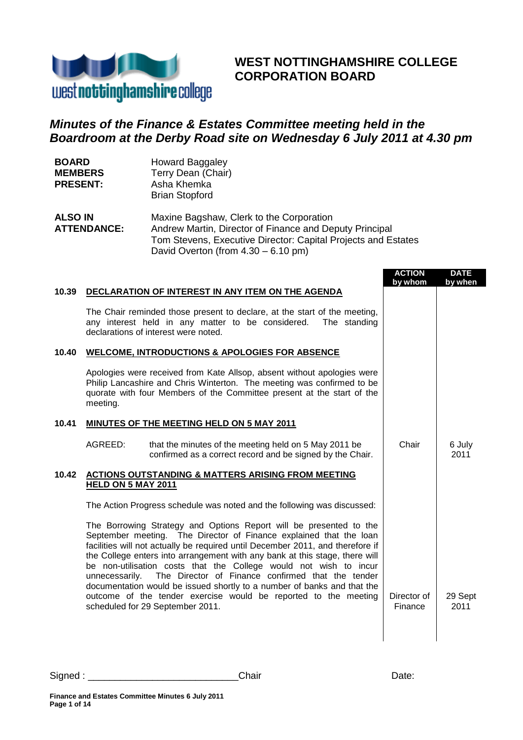

# **WEST NOTTINGHAMSHIRE COLLEGE CORPORATION BOARD**

# *Minutes of the Finance & Estates Committee meeting held in the Boardroom at the Derby Road site on Wednesday 6 July 2011 at 4.30 pm*

| <b>BOARD</b>    | <b>Howard Baggaley</b> |
|-----------------|------------------------|
| <b>MEMBERS</b>  | Terry Dean (Chair)     |
| <b>PRESENT:</b> | Asha Khemka            |
|                 | <b>Brian Stopford</b>  |
|                 |                        |

**ALSO IN ATTENDANCE:** Maxine Bagshaw, Clerk to the Corporation Andrew Martin, Director of Finance and Deputy Principal Tom Stevens, Executive Director: Capital Projects and Estates David Overton (from 4.30 – 6.10 pm)

|       |                    |                                                                                                                                                                                                                                                                                                                                                                                                                                                                                                                | <b>ACTION</b><br>by whom | <b>DATE</b><br>by when |
|-------|--------------------|----------------------------------------------------------------------------------------------------------------------------------------------------------------------------------------------------------------------------------------------------------------------------------------------------------------------------------------------------------------------------------------------------------------------------------------------------------------------------------------------------------------|--------------------------|------------------------|
| 10.39 |                    | DECLARATION OF INTEREST IN ANY ITEM ON THE AGENDA                                                                                                                                                                                                                                                                                                                                                                                                                                                              |                          |                        |
|       |                    | The Chair reminded those present to declare, at the start of the meeting,<br>any interest held in any matter to be considered.<br>The standing<br>declarations of interest were noted.                                                                                                                                                                                                                                                                                                                         |                          |                        |
| 10.40 |                    | <b>WELCOME, INTRODUCTIONS &amp; APOLOGIES FOR ABSENCE</b>                                                                                                                                                                                                                                                                                                                                                                                                                                                      |                          |                        |
|       | meeting.           | Apologies were received from Kate Allsop, absent without apologies were<br>Philip Lancashire and Chris Winterton. The meeting was confirmed to be<br>quorate with four Members of the Committee present at the start of the                                                                                                                                                                                                                                                                                    |                          |                        |
| 10.41 |                    | <b>MINUTES OF THE MEETING HELD ON 5 MAY 2011</b>                                                                                                                                                                                                                                                                                                                                                                                                                                                               |                          |                        |
|       | AGREED:            | that the minutes of the meeting held on 5 May 2011 be<br>confirmed as a correct record and be signed by the Chair.                                                                                                                                                                                                                                                                                                                                                                                             | Chair                    | 6 July<br>2011         |
| 10.42 | HELD ON 5 MAY 2011 | <b>ACTIONS OUTSTANDING &amp; MATTERS ARISING FROM MEETING</b>                                                                                                                                                                                                                                                                                                                                                                                                                                                  |                          |                        |
|       |                    | The Action Progress schedule was noted and the following was discussed:                                                                                                                                                                                                                                                                                                                                                                                                                                        |                          |                        |
|       | unnecessarily.     | The Borrowing Strategy and Options Report will be presented to the<br>September meeting. The Director of Finance explained that the loan<br>facilities will not actually be required until December 2011, and therefore if<br>the College enters into arrangement with any bank at this stage, there will<br>be non-utilisation costs that the College would not wish to incur<br>The Director of Finance confirmed that the tender<br>documentation would be issued shortly to a number of banks and that the |                          |                        |
|       |                    | outcome of the tender exercise would be reported to the meeting<br>scheduled for 29 September 2011.                                                                                                                                                                                                                                                                                                                                                                                                            | Director of<br>Finance   | 29 Sept<br>2011        |
|       |                    |                                                                                                                                                                                                                                                                                                                                                                                                                                                                                                                |                          |                        |

Signed : \_\_\_\_\_\_\_\_\_\_\_\_\_\_\_\_\_\_\_\_\_\_\_\_\_\_\_\_Chair Date: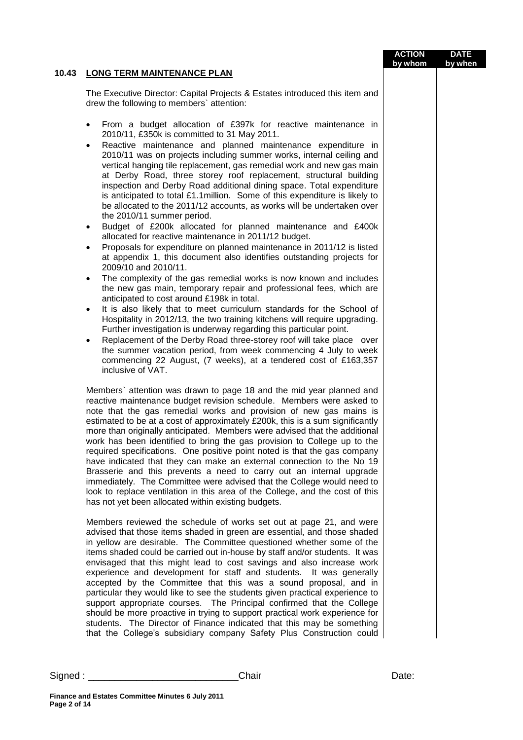| <b>ACTION</b> | DATE    |
|---------------|---------|
|               |         |
| by whom       | by when |
|               |         |
|               |         |

#### **10.43 LONG TERM MAINTENANCE PLAN**

The Executive Director: Capital Projects & Estates introduced this item and drew the following to members` attention:

- From a budget allocation of £397k for reactive maintenance in 2010/11, £350k is committed to 31 May 2011.
- Reactive maintenance and planned maintenance expenditure in 2010/11 was on projects including summer works, internal ceiling and vertical hanging tile replacement, gas remedial work and new gas main at Derby Road, three storey roof replacement, structural building inspection and Derby Road additional dining space. Total expenditure is anticipated to total £1.1million. Some of this expenditure is likely to be allocated to the 2011/12 accounts, as works will be undertaken over the 2010/11 summer period.
- Budget of £200k allocated for planned maintenance and £400k allocated for reactive maintenance in 2011/12 budget.
- Proposals for expenditure on planned maintenance in 2011/12 is listed at appendix 1, this document also identifies outstanding projects for 2009/10 and 2010/11.
- The complexity of the gas remedial works is now known and includes the new gas main, temporary repair and professional fees, which are anticipated to cost around £198k in total.
- It is also likely that to meet curriculum standards for the School of Hospitality in 2012/13, the two training kitchens will require upgrading. Further investigation is underway regarding this particular point.
- Replacement of the Derby Road three-storey roof will take place over the summer vacation period, from week commencing 4 July to week commencing 22 August, (7 weeks), at a tendered cost of £163,357 inclusive of VAT.

Members` attention was drawn to page 18 and the mid year planned and reactive maintenance budget revision schedule. Members were asked to note that the gas remedial works and provision of new gas mains is estimated to be at a cost of approximately £200k, this is a sum significantly more than originally anticipated. Members were advised that the additional work has been identified to bring the gas provision to College up to the required specifications. One positive point noted is that the gas company have indicated that they can make an external connection to the No 19 Brasserie and this prevents a need to carry out an internal upgrade immediately. The Committee were advised that the College would need to look to replace ventilation in this area of the College, and the cost of this has not yet been allocated within existing budgets.

Members reviewed the schedule of works set out at page 21, and were advised that those items shaded in green are essential, and those shaded in yellow are desirable. The Committee questioned whether some of the items shaded could be carried out in-house by staff and/or students. It was envisaged that this might lead to cost savings and also increase work experience and development for staff and students. It was generally accepted by the Committee that this was a sound proposal, and in particular they would like to see the students given practical experience to support appropriate courses. The Principal confirmed that the College should be more proactive in trying to support practical work experience for students. The Director of Finance indicated that this may be something that the College's subsidiary company Safety Plus Construction could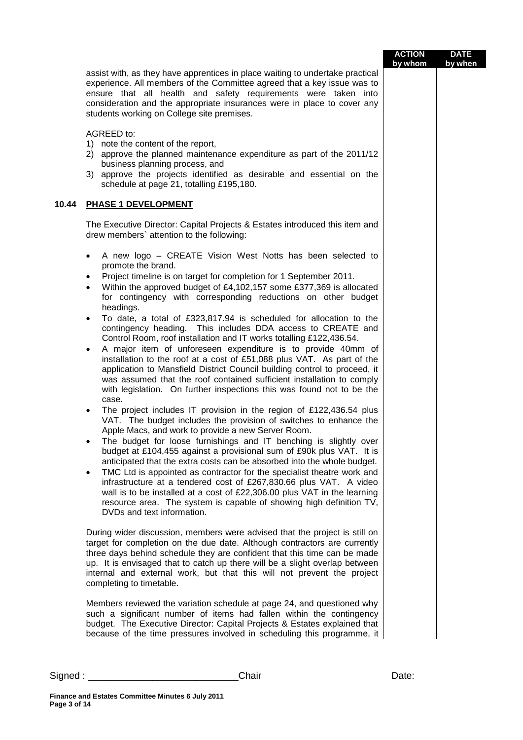|       |                                                                                                                                                                                                                                                                                                                                                                                                                                                                                                                                                                                                                                                                                                                                                                                                                                                                                                                                                                                                                                                                                                                                                                                                                                                                                                                                                                                                                                                                                                                                                                                                                                                                                                                               | <b>ACTION</b><br>by whom | <b>DATE</b><br>by when |
|-------|-------------------------------------------------------------------------------------------------------------------------------------------------------------------------------------------------------------------------------------------------------------------------------------------------------------------------------------------------------------------------------------------------------------------------------------------------------------------------------------------------------------------------------------------------------------------------------------------------------------------------------------------------------------------------------------------------------------------------------------------------------------------------------------------------------------------------------------------------------------------------------------------------------------------------------------------------------------------------------------------------------------------------------------------------------------------------------------------------------------------------------------------------------------------------------------------------------------------------------------------------------------------------------------------------------------------------------------------------------------------------------------------------------------------------------------------------------------------------------------------------------------------------------------------------------------------------------------------------------------------------------------------------------------------------------------------------------------------------------|--------------------------|------------------------|
|       | assist with, as they have apprentices in place waiting to undertake practical<br>experience. All members of the Committee agreed that a key issue was to<br>ensure that all health and safety requirements were taken into<br>consideration and the appropriate insurances were in place to cover any<br>students working on College site premises.                                                                                                                                                                                                                                                                                                                                                                                                                                                                                                                                                                                                                                                                                                                                                                                                                                                                                                                                                                                                                                                                                                                                                                                                                                                                                                                                                                           |                          |                        |
|       | AGREED to:<br>1) note the content of the report,<br>2) approve the planned maintenance expenditure as part of the 2011/12<br>business planning process, and<br>3) approve the projects identified as desirable and essential on the<br>schedule at page 21, totalling £195,180.                                                                                                                                                                                                                                                                                                                                                                                                                                                                                                                                                                                                                                                                                                                                                                                                                                                                                                                                                                                                                                                                                                                                                                                                                                                                                                                                                                                                                                               |                          |                        |
| 10.44 | <b>PHASE 1 DEVELOPMENT</b>                                                                                                                                                                                                                                                                                                                                                                                                                                                                                                                                                                                                                                                                                                                                                                                                                                                                                                                                                                                                                                                                                                                                                                                                                                                                                                                                                                                                                                                                                                                                                                                                                                                                                                    |                          |                        |
|       | The Executive Director: Capital Projects & Estates introduced this item and<br>drew members' attention to the following:                                                                                                                                                                                                                                                                                                                                                                                                                                                                                                                                                                                                                                                                                                                                                                                                                                                                                                                                                                                                                                                                                                                                                                                                                                                                                                                                                                                                                                                                                                                                                                                                      |                          |                        |
|       | A new logo - CREATE Vision West Notts has been selected to<br>٠<br>promote the brand.<br>Project timeline is on target for completion for 1 September 2011.<br>$\bullet$<br>Within the approved budget of £4,102,157 some £377,369 is allocated<br>for contingency with corresponding reductions on other budget<br>headings.<br>To date, a total of £323,817.94 is scheduled for allocation to the<br>$\bullet$<br>contingency heading. This includes DDA access to CREATE and<br>Control Room, roof installation and IT works totalling £122,436.54.<br>A major item of unforeseen expenditure is to provide 40mm of<br>$\bullet$<br>installation to the roof at a cost of £51,088 plus VAT. As part of the<br>application to Mansfield District Council building control to proceed, it<br>was assumed that the roof contained sufficient installation to comply<br>with legislation. On further inspections this was found not to be the<br>case.<br>The project includes IT provision in the region of £122,436.54 plus<br>VAT. The budget includes the provision of switches to enhance the<br>Apple Macs, and work to provide a new Server Room.<br>The budget for loose furnishings and IT benching is slightly over<br>budget at £104,455 against a provisional sum of £90k plus VAT. It is<br>anticipated that the extra costs can be absorbed into the whole budget.<br>TMC Ltd is appointed as contractor for the specialist theatre work and<br>$\bullet$<br>infrastructure at a tendered cost of £267,830.66 plus VAT. A video<br>wall is to be installed at a cost of £22,306.00 plus VAT in the learning<br>resource area. The system is capable of showing high definition TV,<br>DVDs and text information. |                          |                        |
|       | During wider discussion, members were advised that the project is still on<br>target for completion on the due date. Although contractors are currently<br>three days behind schedule they are confident that this time can be made<br>up. It is envisaged that to catch up there will be a slight overlap between<br>internal and external work, but that this will not prevent the project<br>completing to timetable.                                                                                                                                                                                                                                                                                                                                                                                                                                                                                                                                                                                                                                                                                                                                                                                                                                                                                                                                                                                                                                                                                                                                                                                                                                                                                                      |                          |                        |
|       | Members reviewed the variation schedule at page 24, and questioned why<br>such a significant number of items had fallen within the contingency<br>budget. The Executive Director: Capital Projects & Estates explained that<br>because of the time pressures involved in scheduling this programme, it                                                                                                                                                                                                                                                                                                                                                                                                                                                                                                                                                                                                                                                                                                                                                                                                                                                                                                                                                                                                                                                                                                                                                                                                                                                                                                                                                                                                                        |                          |                        |
|       |                                                                                                                                                                                                                                                                                                                                                                                                                                                                                                                                                                                                                                                                                                                                                                                                                                                                                                                                                                                                                                                                                                                                                                                                                                                                                                                                                                                                                                                                                                                                                                                                                                                                                                                               |                          |                        |

п

Signed : \_\_\_\_\_\_\_\_\_\_\_\_\_\_\_\_\_\_\_\_\_\_\_\_\_\_\_\_Chair Date: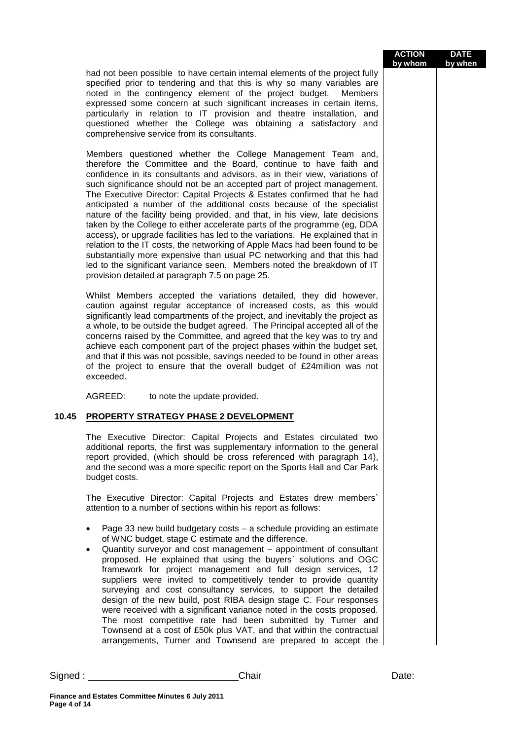| <b>ACTION</b> | <b>DATE</b> |
|---------------|-------------|
| by whom       | by when     |

had not been possible to have certain internal elements of the project fully specified prior to tendering and that this is why so many variables are noted in the contingency element of the project budget. Members expressed some concern at such significant increases in certain items, particularly in relation to IT provision and theatre installation, and questioned whether the College was obtaining a satisfactory and comprehensive service from its consultants.

Members questioned whether the College Management Team and, therefore the Committee and the Board, continue to have faith and confidence in its consultants and advisors, as in their view, variations of such significance should not be an accepted part of project management. The Executive Director: Capital Projects & Estates confirmed that he had anticipated a number of the additional costs because of the specialist nature of the facility being provided, and that, in his view, late decisions taken by the College to either accelerate parts of the programme (eg, DDA access), or upgrade facilities has led to the variations. He explained that in relation to the IT costs, the networking of Apple Macs had been found to be substantially more expensive than usual PC networking and that this had led to the significant variance seen. Members noted the breakdown of IT provision detailed at paragraph 7.5 on page 25.

Whilst Members accepted the variations detailed, they did however, caution against regular acceptance of increased costs, as this would significantly lead compartments of the project, and inevitably the project as a whole, to be outside the budget agreed. The Principal accepted all of the concerns raised by the Committee, and agreed that the key was to try and achieve each component part of the project phases within the budget set, and that if this was not possible, savings needed to be found in other areas of the project to ensure that the overall budget of £24million was not exceeded.

AGREED: to note the update provided.

## **10.45 PROPERTY STRATEGY PHASE 2 DEVELOPMENT**

The Executive Director: Capital Projects and Estates circulated two additional reports, the first was supplementary information to the general report provided, (which should be cross referenced with paragraph 14), and the second was a more specific report on the Sports Hall and Car Park budget costs.

The Executive Director: Capital Projects and Estates drew members` attention to a number of sections within his report as follows:

- Page 33 new build budgetary costs a schedule providing an estimate of WNC budget, stage C estimate and the difference.
- Quantity surveyor and cost management appointment of consultant proposed. He explained that using the buyers` solutions and OGC framework for project management and full design services, 12 suppliers were invited to competitively tender to provide quantity surveying and cost consultancy services, to support the detailed design of the new build, post RIBA design stage C. Four responses were received with a significant variance noted in the costs proposed. The most competitive rate had been submitted by Turner and Townsend at a cost of £50k plus VAT, and that within the contractual arrangements, Turner and Townsend are prepared to accept the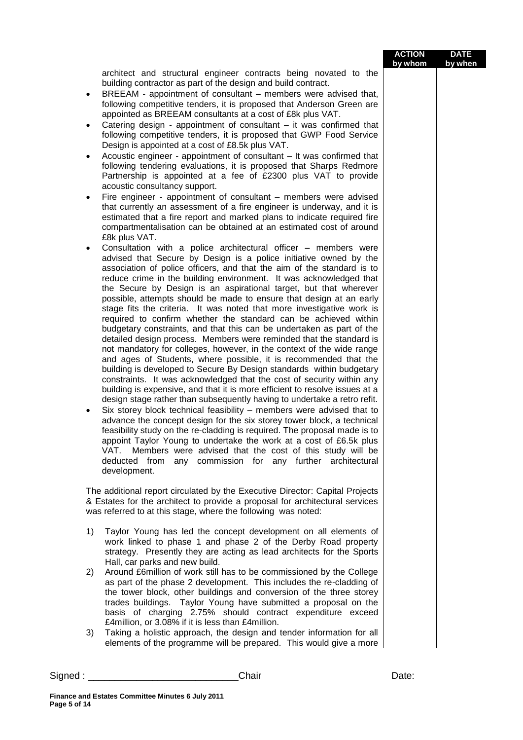|         |                                                                                                                                                                                                                                                                                                                                                                                                                                                                                                                                                                                                                                                                                                                                                                                                                                                                                                                                                                                                                                                                                                                                                                                                                                                                                                                                                                                                                                                                                                                                                                                                                                                                                                                                                                                                                                                                                                                                                                                                                                                                                                                                                                                                                                                                                                                                                                                                                                                                                                                                                                                                                                                                                                                                                                                                                          | <b>ACTION</b><br>by whom | <b>DATE</b><br>by when |
|---------|--------------------------------------------------------------------------------------------------------------------------------------------------------------------------------------------------------------------------------------------------------------------------------------------------------------------------------------------------------------------------------------------------------------------------------------------------------------------------------------------------------------------------------------------------------------------------------------------------------------------------------------------------------------------------------------------------------------------------------------------------------------------------------------------------------------------------------------------------------------------------------------------------------------------------------------------------------------------------------------------------------------------------------------------------------------------------------------------------------------------------------------------------------------------------------------------------------------------------------------------------------------------------------------------------------------------------------------------------------------------------------------------------------------------------------------------------------------------------------------------------------------------------------------------------------------------------------------------------------------------------------------------------------------------------------------------------------------------------------------------------------------------------------------------------------------------------------------------------------------------------------------------------------------------------------------------------------------------------------------------------------------------------------------------------------------------------------------------------------------------------------------------------------------------------------------------------------------------------------------------------------------------------------------------------------------------------------------------------------------------------------------------------------------------------------------------------------------------------------------------------------------------------------------------------------------------------------------------------------------------------------------------------------------------------------------------------------------------------------------------------------------------------------------------------------------------------|--------------------------|------------------------|
|         | architect and structural engineer contracts being novated to the<br>building contractor as part of the design and build contract.<br>BREEAM - appointment of consultant – members were advised that,<br>$\bullet$<br>following competitive tenders, it is proposed that Anderson Green are<br>appointed as BREEAM consultants at a cost of £8k plus VAT.<br>Catering design - appointment of consultant - it was confirmed that<br>$\bullet$<br>following competitive tenders, it is proposed that GWP Food Service<br>Design is appointed at a cost of £8.5k plus VAT.<br>Acoustic engineer - appointment of consultant - It was confirmed that<br>$\bullet$<br>following tendering evaluations, it is proposed that Sharps Redmore<br>Partnership is appointed at a fee of £2300 plus VAT to provide<br>acoustic consultancy support.<br>Fire engineer - appointment of consultant - members were advised<br>$\bullet$<br>that currently an assessment of a fire engineer is underway, and it is<br>estimated that a fire report and marked plans to indicate required fire<br>compartmentalisation can be obtained at an estimated cost of around<br>£8k plus VAT.<br>Consultation with a police architectural officer - members were<br>٠<br>advised that Secure by Design is a police initiative owned by the<br>association of police officers, and that the aim of the standard is to<br>reduce crime in the building environment. It was acknowledged that<br>the Secure by Design is an aspirational target, but that wherever<br>possible, attempts should be made to ensure that design at an early<br>stage fits the criteria. It was noted that more investigative work is<br>required to confirm whether the standard can be achieved within<br>budgetary constraints, and that this can be undertaken as part of the<br>detailed design process. Members were reminded that the standard is<br>not mandatory for colleges, however, in the context of the wide range<br>and ages of Students, where possible, it is recommended that the<br>building is developed to Secure By Design standards within budgetary<br>constraints. It was acknowledged that the cost of security within any<br>building is expensive, and that it is more efficient to resolve issues at a<br>design stage rather than subsequently having to undertake a retro refit.<br>Six storey block technical feasibility - members were advised that to<br>advance the concept design for the six storey tower block, a technical<br>feasibility study on the re-cladding is required. The proposal made is to<br>appoint Taylor Young to undertake the work at a cost of £6.5k plus<br>VAT. Members were advised that the cost of this study will be<br>deducted from any commission for any further architectural<br>development. |                          |                        |
|         | The additional report circulated by the Executive Director: Capital Projects<br>& Estates for the architect to provide a proposal for architectural services<br>was referred to at this stage, where the following was noted:                                                                                                                                                                                                                                                                                                                                                                                                                                                                                                                                                                                                                                                                                                                                                                                                                                                                                                                                                                                                                                                                                                                                                                                                                                                                                                                                                                                                                                                                                                                                                                                                                                                                                                                                                                                                                                                                                                                                                                                                                                                                                                                                                                                                                                                                                                                                                                                                                                                                                                                                                                                            |                          |                        |
|         | Taylor Young has led the concept development on all elements of<br>1)<br>work linked to phase 1 and phase 2 of the Derby Road property<br>strategy. Presently they are acting as lead architects for the Sports<br>Hall, car parks and new build.                                                                                                                                                                                                                                                                                                                                                                                                                                                                                                                                                                                                                                                                                                                                                                                                                                                                                                                                                                                                                                                                                                                                                                                                                                                                                                                                                                                                                                                                                                                                                                                                                                                                                                                                                                                                                                                                                                                                                                                                                                                                                                                                                                                                                                                                                                                                                                                                                                                                                                                                                                        |                          |                        |
|         | Around £6million of work still has to be commissioned by the College<br>2)<br>as part of the phase 2 development. This includes the re-cladding of<br>the tower block, other buildings and conversion of the three storey<br>trades buildings. Taylor Young have submitted a proposal on the<br>basis of charging 2.75% should contract expenditure exceed<br>£4million, or 3.08% if it is less than £4million.                                                                                                                                                                                                                                                                                                                                                                                                                                                                                                                                                                                                                                                                                                                                                                                                                                                                                                                                                                                                                                                                                                                                                                                                                                                                                                                                                                                                                                                                                                                                                                                                                                                                                                                                                                                                                                                                                                                                                                                                                                                                                                                                                                                                                                                                                                                                                                                                          |                          |                        |
|         | Taking a holistic approach, the design and tender information for all<br>3)<br>elements of the programme will be prepared. This would give a more                                                                                                                                                                                                                                                                                                                                                                                                                                                                                                                                                                                                                                                                                                                                                                                                                                                                                                                                                                                                                                                                                                                                                                                                                                                                                                                                                                                                                                                                                                                                                                                                                                                                                                                                                                                                                                                                                                                                                                                                                                                                                                                                                                                                                                                                                                                                                                                                                                                                                                                                                                                                                                                                        |                          |                        |
| Signed: | Chair                                                                                                                                                                                                                                                                                                                                                                                                                                                                                                                                                                                                                                                                                                                                                                                                                                                                                                                                                                                                                                                                                                                                                                                                                                                                                                                                                                                                                                                                                                                                                                                                                                                                                                                                                                                                                                                                                                                                                                                                                                                                                                                                                                                                                                                                                                                                                                                                                                                                                                                                                                                                                                                                                                                                                                                                                    | Date:                    |                        |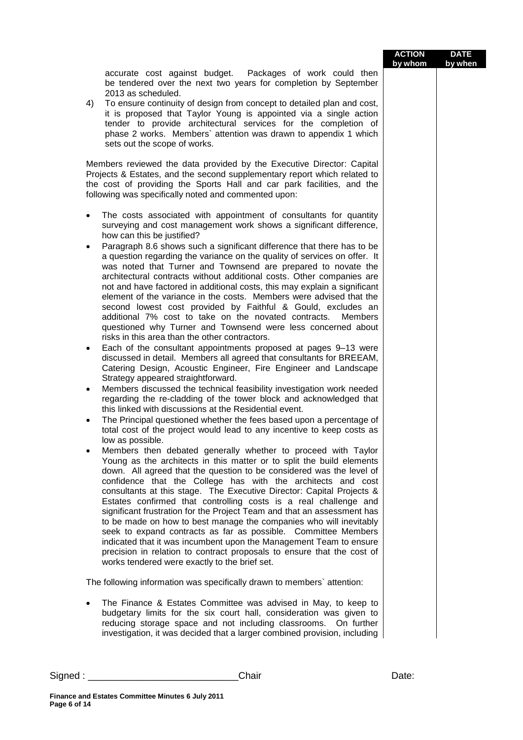| <b>ACTION</b> | <b>DATE</b> |
|---------------|-------------|
| by whom       | by when     |

accurate cost against budget. Packages of work could then be tendered over the next two years for completion by September 2013 as scheduled.

4) To ensure continuity of design from concept to detailed plan and cost, it is proposed that Taylor Young is appointed via a single action tender to provide architectural services for the completion of phase 2 works. Members` attention was drawn to appendix 1 which sets out the scope of works.

Members reviewed the data provided by the Executive Director: Capital Projects & Estates, and the second supplementary report which related to the cost of providing the Sports Hall and car park facilities, and the following was specifically noted and commented upon:

- The costs associated with appointment of consultants for quantity surveying and cost management work shows a significant difference, how can this be justified?
- Paragraph 8.6 shows such a significant difference that there has to be a question regarding the variance on the quality of services on offer. It was noted that Turner and Townsend are prepared to novate the architectural contracts without additional costs. Other companies are not and have factored in additional costs, this may explain a significant element of the variance in the costs. Members were advised that the second lowest cost provided by Faithful & Gould, excludes an additional 7% cost to take on the novated contracts. Members questioned why Turner and Townsend were less concerned about risks in this area than the other contractors.
- Each of the consultant appointments proposed at pages 9–13 were discussed in detail. Members all agreed that consultants for BREEAM, Catering Design, Acoustic Engineer, Fire Engineer and Landscape Strategy appeared straightforward.
- Members discussed the technical feasibility investigation work needed regarding the re-cladding of the tower block and acknowledged that this linked with discussions at the Residential event.
- The Principal questioned whether the fees based upon a percentage of total cost of the project would lead to any incentive to keep costs as low as possible.
- Members then debated generally whether to proceed with Taylor Young as the architects in this matter or to split the build elements down. All agreed that the question to be considered was the level of confidence that the College has with the architects and cost consultants at this stage. The Executive Director: Capital Projects & Estates confirmed that controlling costs is a real challenge and significant frustration for the Project Team and that an assessment has to be made on how to best manage the companies who will inevitably seek to expand contracts as far as possible. Committee Members indicated that it was incumbent upon the Management Team to ensure precision in relation to contract proposals to ensure that the cost of works tendered were exactly to the brief set.

The following information was specifically drawn to members` attention:

 The Finance & Estates Committee was advised in May, to keep to budgetary limits for the six court hall, consideration was given to reducing storage space and not including classrooms. On further investigation, it was decided that a larger combined provision, including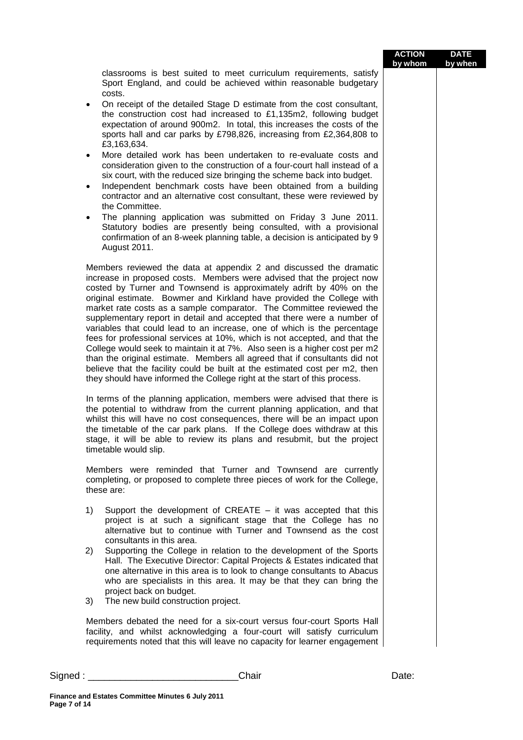| <b>ACTION</b> | DATE    |
|---------------|---------|
| by whom       | by when |
|               |         |
|               |         |

classrooms is best suited to meet curriculum requirements, satisfy Sport England, and could be achieved within reasonable budgetary costs.

- On receipt of the detailed Stage D estimate from the cost consultant, the construction cost had increased to £1,135m2, following budget expectation of around 900m2. In total, this increases the costs of the sports hall and car parks by £798,826, increasing from £2,364,808 to £3,163,634.
- More detailed work has been undertaken to re-evaluate costs and consideration given to the construction of a four-court hall instead of a six court, with the reduced size bringing the scheme back into budget.
- Independent benchmark costs have been obtained from a building contractor and an alternative cost consultant, these were reviewed by the Committee.
- The planning application was submitted on Friday 3 June 2011. Statutory bodies are presently being consulted, with a provisional confirmation of an 8-week planning table, a decision is anticipated by 9 August 2011.

Members reviewed the data at appendix 2 and discussed the dramatic increase in proposed costs. Members were advised that the project now costed by Turner and Townsend is approximately adrift by 40% on the original estimate. Bowmer and Kirkland have provided the College with market rate costs as a sample comparator. The Committee reviewed the supplementary report in detail and accepted that there were a number of variables that could lead to an increase, one of which is the percentage fees for professional services at 10%, which is not accepted, and that the College would seek to maintain it at 7%. Also seen is a higher cost per m2 than the original estimate. Members all agreed that if consultants did not believe that the facility could be built at the estimated cost per m2, then they should have informed the College right at the start of this process.

In terms of the planning application, members were advised that there is the potential to withdraw from the current planning application, and that whilst this will have no cost consequences, there will be an impact upon the timetable of the car park plans. If the College does withdraw at this stage, it will be able to review its plans and resubmit, but the project timetable would slip.

Members were reminded that Turner and Townsend are currently completing, or proposed to complete three pieces of work for the College, these are:

- 1) Support the development of CREATE it was accepted that this project is at such a significant stage that the College has no alternative but to continue with Turner and Townsend as the cost consultants in this area.
- 2) Supporting the College in relation to the development of the Sports Hall. The Executive Director: Capital Projects & Estates indicated that one alternative in this area is to look to change consultants to Abacus who are specialists in this area. It may be that they can bring the project back on budget.
- 3) The new build construction project.

Members debated the need for a six-court versus four-court Sports Hall facility, and whilst acknowledging a four-court will satisfy curriculum requirements noted that this will leave no capacity for learner engagement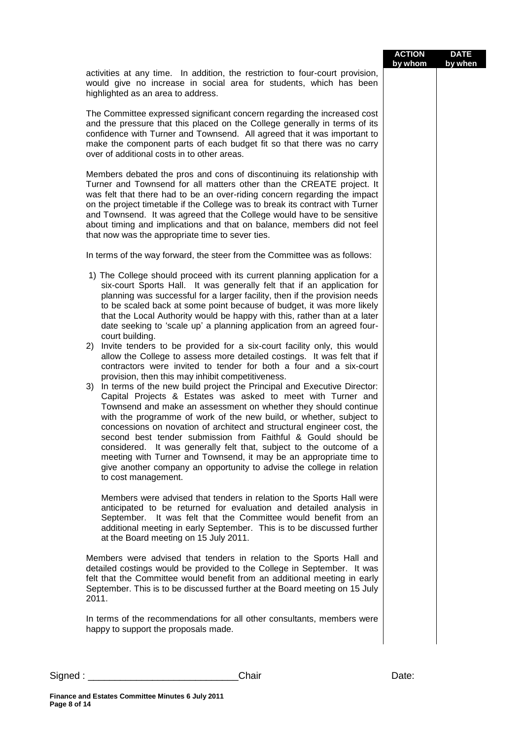| <b>ACTION</b> | <b>DATE</b> |
|---------------|-------------|
| by whom       | by when     |

activities at any time. In addition, the restriction to four-court provision, would give no increase in social area for students, which has been highlighted as an area to address.

The Committee expressed significant concern regarding the increased cost and the pressure that this placed on the College generally in terms of its confidence with Turner and Townsend. All agreed that it was important to make the component parts of each budget fit so that there was no carry over of additional costs in to other areas.

Members debated the pros and cons of discontinuing its relationship with Turner and Townsend for all matters other than the CREATE project. It was felt that there had to be an over-riding concern regarding the impact on the project timetable if the College was to break its contract with Turner and Townsend. It was agreed that the College would have to be sensitive about timing and implications and that on balance, members did not feel that now was the appropriate time to sever ties.

In terms of the way forward, the steer from the Committee was as follows:

- 1) The College should proceed with its current planning application for a six-court Sports Hall. It was generally felt that if an application for planning was successful for a larger facility, then if the provision needs to be scaled back at some point because of budget, it was more likely that the Local Authority would be happy with this, rather than at a later date seeking to 'scale up' a planning application from an agreed fourcourt building.
- 2) Invite tenders to be provided for a six-court facility only, this would allow the College to assess more detailed costings. It was felt that if contractors were invited to tender for both a four and a six-court provision, then this may inhibit competitiveness.
- 3) In terms of the new build project the Principal and Executive Director: Capital Projects & Estates was asked to meet with Turner and Townsend and make an assessment on whether they should continue with the programme of work of the new build, or whether, subject to concessions on novation of architect and structural engineer cost, the second best tender submission from Faithful & Gould should be considered. It was generally felt that, subject to the outcome of a meeting with Turner and Townsend, it may be an appropriate time to give another company an opportunity to advise the college in relation to cost management.

Members were advised that tenders in relation to the Sports Hall were anticipated to be returned for evaluation and detailed analysis in September. It was felt that the Committee would benefit from an additional meeting in early September. This is to be discussed further at the Board meeting on 15 July 2011.

Members were advised that tenders in relation to the Sports Hall and detailed costings would be provided to the College in September. It was felt that the Committee would benefit from an additional meeting in early September. This is to be discussed further at the Board meeting on 15 July 2011.

In terms of the recommendations for all other consultants, members were happy to support the proposals made.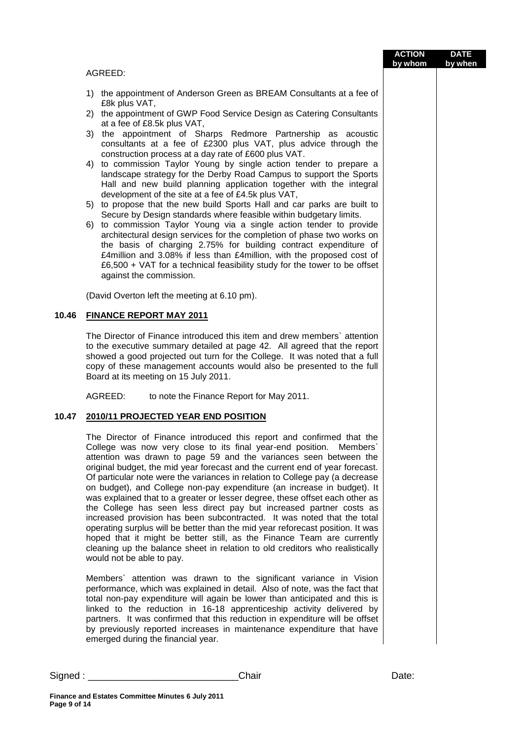AGREED:

- 1) the appointment of Anderson Green as BREAM Consultants at a fee of £8k plus VAT,
- 2) the appointment of GWP Food Service Design as Catering Consultants at a fee of £8.5k plus VAT,
- 3) the appointment of Sharps Redmore Partnership as acoustic consultants at a fee of £2300 plus VAT, plus advice through the construction process at a day rate of £600 plus VAT.
- 4) to commission Taylor Young by single action tender to prepare a landscape strategy for the Derby Road Campus to support the Sports Hall and new build planning application together with the integral development of the site at a fee of £4.5k plus VAT,
- 5) to propose that the new build Sports Hall and car parks are built to Secure by Design standards where feasible within budgetary limits.
- 6) to commission Taylor Young via a single action tender to provide architectural design services for the completion of phase two works on the basis of charging 2.75% for building contract expenditure of £4million and 3.08% if less than £4million, with the proposed cost of £6,500 + VAT for a technical feasibility study for the tower to be offset against the commission.

(David Overton left the meeting at 6.10 pm).

#### **10.46 FINANCE REPORT MAY 2011**

The Director of Finance introduced this item and drew members` attention to the executive summary detailed at page 42. All agreed that the report showed a good projected out turn for the College. It was noted that a full copy of these management accounts would also be presented to the full Board at its meeting on 15 July 2011.

AGREED: to note the Finance Report for May 2011.

## **10.47 2010/11 PROJECTED YEAR END POSITION**

The Director of Finance introduced this report and confirmed that the College was now very close to its final year-end position. Members` attention was drawn to page 59 and the variances seen between the original budget, the mid year forecast and the current end of year forecast. Of particular note were the variances in relation to College pay (a decrease on budget), and College non-pay expenditure (an increase in budget). It was explained that to a greater or lesser degree, these offset each other as the College has seen less direct pay but increased partner costs as increased provision has been subcontracted. It was noted that the total operating surplus will be better than the mid year reforecast position. It was hoped that it might be better still, as the Finance Team are currently cleaning up the balance sheet in relation to old creditors who realistically would not be able to pay.

Members` attention was drawn to the significant variance in Vision performance, which was explained in detail. Also of note, was the fact that total non-pay expenditure will again be lower than anticipated and this is linked to the reduction in 16-18 apprenticeship activity delivered by partners. It was confirmed that this reduction in expenditure will be offset by previously reported increases in maintenance expenditure that have emerged during the financial year.

**ACTION by whom**

**DATE by when**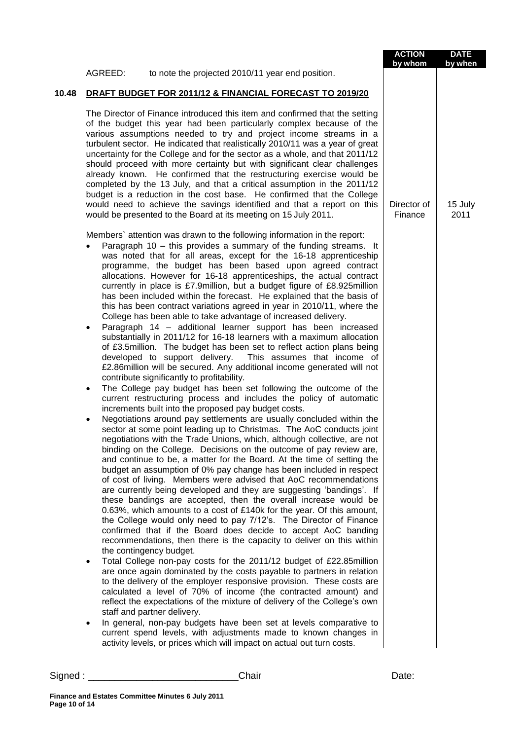|       |                                                                                                                                                                                                                                                                                                                                                                                                                                                                                                                                                                                                                                                                                                                                                                                                                                                                                                                                                                                                                                                                                                                                                                                                                                                                                                                                                                                                                                                                                                                                                                                                                                                                                                                                                                                                                                                                                                                                                                                                                                                                                                                                                                                                                                                                                                                                                                                                                                                                                                                                                                                                                                                                                                                                                                                                                                                                                                                     | <b>ACTION</b><br>by whom | <b>DATE</b><br>by when |
|-------|---------------------------------------------------------------------------------------------------------------------------------------------------------------------------------------------------------------------------------------------------------------------------------------------------------------------------------------------------------------------------------------------------------------------------------------------------------------------------------------------------------------------------------------------------------------------------------------------------------------------------------------------------------------------------------------------------------------------------------------------------------------------------------------------------------------------------------------------------------------------------------------------------------------------------------------------------------------------------------------------------------------------------------------------------------------------------------------------------------------------------------------------------------------------------------------------------------------------------------------------------------------------------------------------------------------------------------------------------------------------------------------------------------------------------------------------------------------------------------------------------------------------------------------------------------------------------------------------------------------------------------------------------------------------------------------------------------------------------------------------------------------------------------------------------------------------------------------------------------------------------------------------------------------------------------------------------------------------------------------------------------------------------------------------------------------------------------------------------------------------------------------------------------------------------------------------------------------------------------------------------------------------------------------------------------------------------------------------------------------------------------------------------------------------------------------------------------------------------------------------------------------------------------------------------------------------------------------------------------------------------------------------------------------------------------------------------------------------------------------------------------------------------------------------------------------------------------------------------------------------------------------------------------------------|--------------------------|------------------------|
|       | AGREED:<br>to note the projected 2010/11 year end position.                                                                                                                                                                                                                                                                                                                                                                                                                                                                                                                                                                                                                                                                                                                                                                                                                                                                                                                                                                                                                                                                                                                                                                                                                                                                                                                                                                                                                                                                                                                                                                                                                                                                                                                                                                                                                                                                                                                                                                                                                                                                                                                                                                                                                                                                                                                                                                                                                                                                                                                                                                                                                                                                                                                                                                                                                                                         |                          |                        |
| 10.48 | DRAFT BUDGET FOR 2011/12 & FINANCIAL FORECAST TO 2019/20                                                                                                                                                                                                                                                                                                                                                                                                                                                                                                                                                                                                                                                                                                                                                                                                                                                                                                                                                                                                                                                                                                                                                                                                                                                                                                                                                                                                                                                                                                                                                                                                                                                                                                                                                                                                                                                                                                                                                                                                                                                                                                                                                                                                                                                                                                                                                                                                                                                                                                                                                                                                                                                                                                                                                                                                                                                            |                          |                        |
|       | The Director of Finance introduced this item and confirmed that the setting<br>of the budget this year had been particularly complex because of the<br>various assumptions needed to try and project income streams in a<br>turbulent sector. He indicated that realistically 2010/11 was a year of great<br>uncertainty for the College and for the sector as a whole, and that 2011/12<br>should proceed with more certainty but with significant clear challenges<br>already known. He confirmed that the restructuring exercise would be<br>completed by the 13 July, and that a critical assumption in the 2011/12<br>budget is a reduction in the cost base. He confirmed that the College<br>would need to achieve the savings identified and that a report on this<br>would be presented to the Board at its meeting on 15 July 2011.                                                                                                                                                                                                                                                                                                                                                                                                                                                                                                                                                                                                                                                                                                                                                                                                                                                                                                                                                                                                                                                                                                                                                                                                                                                                                                                                                                                                                                                                                                                                                                                                                                                                                                                                                                                                                                                                                                                                                                                                                                                                       | Director of<br>Finance   | 15 July<br>2011        |
|       | Members` attention was drawn to the following information in the report:<br>Paragraph 10 - this provides a summary of the funding streams. It<br>was noted that for all areas, except for the 16-18 apprenticeship<br>programme, the budget has been based upon agreed contract<br>allocations. However for 16-18 apprenticeships, the actual contract<br>currently in place is £7.9million, but a budget figure of £8.925million<br>has been included within the forecast. He explained that the basis of<br>this has been contract variations agreed in year in 2010/11, where the<br>College has been able to take advantage of increased delivery.<br>Paragraph 14 - additional learner support has been increased<br>٠<br>substantially in 2011/12 for 16-18 learners with a maximum allocation<br>of £3.5million. The budget has been set to reflect action plans being<br>developed to support delivery. This assumes that income of<br>£2.86million will be secured. Any additional income generated will not<br>contribute significantly to profitability.<br>The College pay budget has been set following the outcome of the<br>$\bullet$<br>current restructuring process and includes the policy of automatic<br>increments built into the proposed pay budget costs.<br>Negotiations around pay settlements are usually concluded within the<br>sector at some point leading up to Christmas. The AoC conducts joint<br>negotiations with the Trade Unions, which, although collective, are not<br>binding on the College. Decisions on the outcome of pay review are,<br>and continue to be, a matter for the Board. At the time of setting the<br>budget an assumption of 0% pay change has been included in respect<br>of cost of living. Members were advised that AoC recommendations<br>are currently being developed and they are suggesting 'bandings'. If<br>these bandings are accepted, then the overall increase would be<br>0.63%, which amounts to a cost of £140k for the year. Of this amount,<br>the College would only need to pay 7/12's. The Director of Finance<br>confirmed that if the Board does decide to accept AoC banding<br>recommendations, then there is the capacity to deliver on this within<br>the contingency budget.<br>Total College non-pay costs for the 2011/12 budget of £22.85million<br>٠<br>are once again dominated by the costs payable to partners in relation<br>to the delivery of the employer responsive provision. These costs are<br>calculated a level of 70% of income (the contracted amount) and<br>reflect the expectations of the mixture of delivery of the College's own<br>staff and partner delivery.<br>In general, non-pay budgets have been set at levels comparative to<br>$\bullet$<br>current spend levels, with adjustments made to known changes in<br>activity levels, or prices which will impact on actual out turn costs. |                          |                        |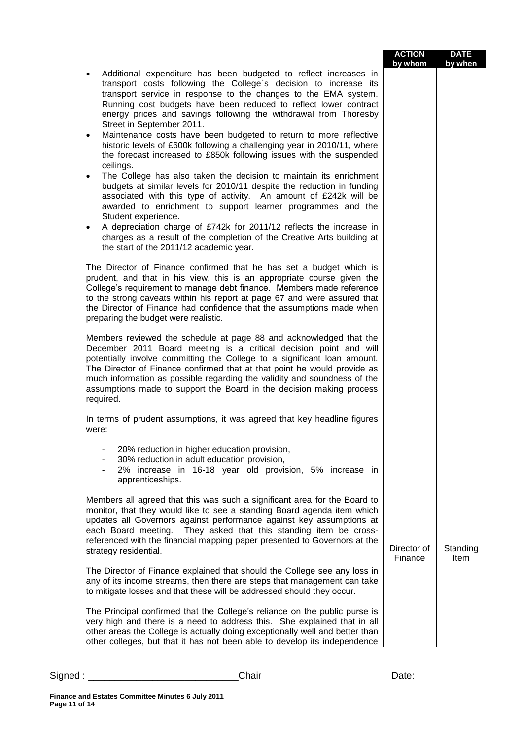|                                                                                                                                                                                                                                                                                                                                                                                                                                                                                                                                                                                                                                                                                                                                                                                                                                                                                                                                                                                                                                                                                                                                   | <b>ACTION</b><br>by whom | <b>DATE</b><br>by when  |
|-----------------------------------------------------------------------------------------------------------------------------------------------------------------------------------------------------------------------------------------------------------------------------------------------------------------------------------------------------------------------------------------------------------------------------------------------------------------------------------------------------------------------------------------------------------------------------------------------------------------------------------------------------------------------------------------------------------------------------------------------------------------------------------------------------------------------------------------------------------------------------------------------------------------------------------------------------------------------------------------------------------------------------------------------------------------------------------------------------------------------------------|--------------------------|-------------------------|
| Additional expenditure has been budgeted to reflect increases in<br>transport costs following the College's decision to increase its<br>transport service in response to the changes to the EMA system.<br>Running cost budgets have been reduced to reflect lower contract<br>energy prices and savings following the withdrawal from Thoresby<br>Street in September 2011.<br>Maintenance costs have been budgeted to return to more reflective<br>٠<br>historic levels of £600k following a challenging year in 2010/11, where<br>the forecast increased to £850k following issues with the suspended<br>ceilings.<br>The College has also taken the decision to maintain its enrichment<br>٠<br>budgets at similar levels for 2010/11 despite the reduction in funding<br>associated with this type of activity. An amount of £242k will be<br>awarded to enrichment to support learner programmes and the<br>Student experience.<br>A depreciation charge of £742k for 2011/12 reflects the increase in<br>charges as a result of the completion of the Creative Arts building at<br>the start of the 2011/12 academic year. |                          |                         |
| The Director of Finance confirmed that he has set a budget which is<br>prudent, and that in his view, this is an appropriate course given the<br>College's requirement to manage debt finance. Members made reference<br>to the strong caveats within his report at page 67 and were assured that<br>the Director of Finance had confidence that the assumptions made when<br>preparing the budget were realistic.                                                                                                                                                                                                                                                                                                                                                                                                                                                                                                                                                                                                                                                                                                                |                          |                         |
| Members reviewed the schedule at page 88 and acknowledged that the<br>December 2011 Board meeting is a critical decision point and will<br>potentially involve committing the College to a significant loan amount.<br>The Director of Finance confirmed that at that point he would provide as<br>much information as possible regarding the validity and soundness of the<br>assumptions made to support the Board in the decision making process<br>required.                                                                                                                                                                                                                                                                                                                                                                                                                                                                                                                                                                                                                                                                  |                          |                         |
| In terms of prudent assumptions, it was agreed that key headline figures<br>were:                                                                                                                                                                                                                                                                                                                                                                                                                                                                                                                                                                                                                                                                                                                                                                                                                                                                                                                                                                                                                                                 |                          |                         |
| 20% reduction in higher education provision,<br>30% reduction in adult education provision,<br>2% increase in 16-18 year old provision, 5% increase in<br>apprenticeships.                                                                                                                                                                                                                                                                                                                                                                                                                                                                                                                                                                                                                                                                                                                                                                                                                                                                                                                                                        |                          |                         |
| Members all agreed that this was such a significant area for the Board to<br>monitor, that they would like to see a standing Board agenda item which<br>updates all Governors against performance against key assumptions at<br>They asked that this standing item be cross-<br>each Board meeting.<br>referenced with the financial mapping paper presented to Governors at the<br>strategy residential.                                                                                                                                                                                                                                                                                                                                                                                                                                                                                                                                                                                                                                                                                                                         | Director of<br>Finance   | Standing<br><b>Item</b> |
| The Director of Finance explained that should the College see any loss in<br>any of its income streams, then there are steps that management can take<br>to mitigate losses and that these will be addressed should they occur.                                                                                                                                                                                                                                                                                                                                                                                                                                                                                                                                                                                                                                                                                                                                                                                                                                                                                                   |                          |                         |
| The Principal confirmed that the College's reliance on the public purse is<br>very high and there is a need to address this. She explained that in all<br>other areas the College is actually doing exceptionally well and better than<br>other colleges, but that it has not been able to develop its independence                                                                                                                                                                                                                                                                                                                                                                                                                                                                                                                                                                                                                                                                                                                                                                                                               |                          |                         |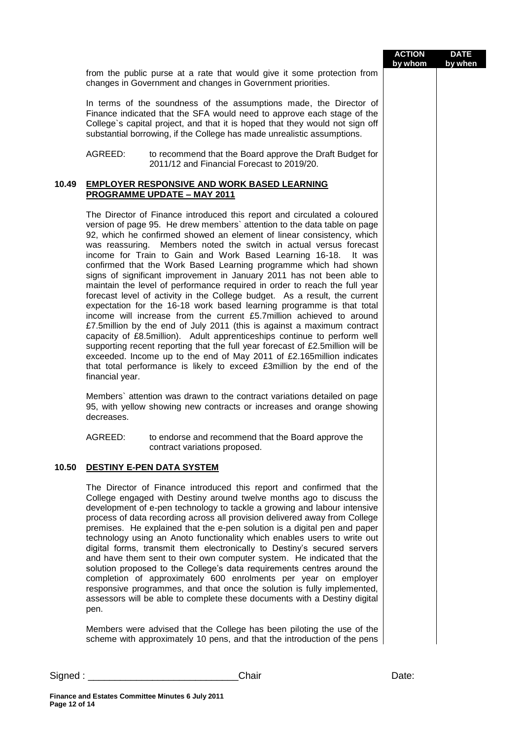|        |                                                                                                                                                                                                                                                                                                                                                                                                                                                                                                                                                                                                                                                                                                                                                                                                                                                                                                                                                                                                                                                                                                                                                                                                                                                | <b>ACTION</b><br>by whom | <b>DATE</b><br>by when |
|--------|------------------------------------------------------------------------------------------------------------------------------------------------------------------------------------------------------------------------------------------------------------------------------------------------------------------------------------------------------------------------------------------------------------------------------------------------------------------------------------------------------------------------------------------------------------------------------------------------------------------------------------------------------------------------------------------------------------------------------------------------------------------------------------------------------------------------------------------------------------------------------------------------------------------------------------------------------------------------------------------------------------------------------------------------------------------------------------------------------------------------------------------------------------------------------------------------------------------------------------------------|--------------------------|------------------------|
|        | from the public purse at a rate that would give it some protection from<br>changes in Government and changes in Government priorities.                                                                                                                                                                                                                                                                                                                                                                                                                                                                                                                                                                                                                                                                                                                                                                                                                                                                                                                                                                                                                                                                                                         |                          |                        |
|        | In terms of the soundness of the assumptions made, the Director of<br>Finance indicated that the SFA would need to approve each stage of the<br>College's capital project, and that it is hoped that they would not sign off<br>substantial borrowing, if the College has made unrealistic assumptions.                                                                                                                                                                                                                                                                                                                                                                                                                                                                                                                                                                                                                                                                                                                                                                                                                                                                                                                                        |                          |                        |
|        | AGREED:<br>to recommend that the Board approve the Draft Budget for<br>2011/12 and Financial Forecast to 2019/20.                                                                                                                                                                                                                                                                                                                                                                                                                                                                                                                                                                                                                                                                                                                                                                                                                                                                                                                                                                                                                                                                                                                              |                          |                        |
| 10.49  | <b>EMPLOYER RESPONSIVE AND WORK BASED LEARNING</b><br><b>PROGRAMME UPDATE - MAY 2011</b>                                                                                                                                                                                                                                                                                                                                                                                                                                                                                                                                                                                                                                                                                                                                                                                                                                                                                                                                                                                                                                                                                                                                                       |                          |                        |
|        | The Director of Finance introduced this report and circulated a coloured<br>version of page 95. He drew members' attention to the data table on page<br>92, which he confirmed showed an element of linear consistency, which<br>was reassuring. Members noted the switch in actual versus forecast<br>income for Train to Gain and Work Based Learning 16-18. It was<br>confirmed that the Work Based Learning programme which had shown<br>signs of significant improvement in January 2011 has not been able to<br>maintain the level of performance required in order to reach the full year<br>forecast level of activity in the College budget. As a result, the current<br>expectation for the 16-18 work based learning programme is that total<br>income will increase from the current £5.7million achieved to around<br>£7.5million by the end of July 2011 (this is against a maximum contract<br>capacity of £8.5million). Adult apprenticeships continue to perform well<br>supporting recent reporting that the full year forecast of £2.5million will be<br>exceeded. Income up to the end of May 2011 of £2.165million indicates<br>that total performance is likely to exceed £3million by the end of the<br>financial year. |                          |                        |
|        | Members' attention was drawn to the contract variations detailed on page<br>95, with yellow showing new contracts or increases and orange showing<br>decreases.                                                                                                                                                                                                                                                                                                                                                                                                                                                                                                                                                                                                                                                                                                                                                                                                                                                                                                                                                                                                                                                                                |                          |                        |
|        | AGREED:<br>to endorse and recommend that the Board approve the<br>contract variations proposed.                                                                                                                                                                                                                                                                                                                                                                                                                                                                                                                                                                                                                                                                                                                                                                                                                                                                                                                                                                                                                                                                                                                                                |                          |                        |
| 10.50  | DESTINY E-PEN DATA SYSTEM                                                                                                                                                                                                                                                                                                                                                                                                                                                                                                                                                                                                                                                                                                                                                                                                                                                                                                                                                                                                                                                                                                                                                                                                                      |                          |                        |
|        | The Director of Finance introduced this report and confirmed that the<br>College engaged with Destiny around twelve months ago to discuss the<br>development of e-pen technology to tackle a growing and labour intensive<br>process of data recording across all provision delivered away from College<br>premises. He explained that the e-pen solution is a digital pen and paper<br>technology using an Anoto functionality which enables users to write out<br>digital forms, transmit them electronically to Destiny's secured servers<br>and have them sent to their own computer system. He indicated that the<br>solution proposed to the College's data requirements centres around the<br>completion of approximately 600 enrolments per year on employer<br>responsive programmes, and that once the solution is fully implemented,<br>assessors will be able to complete these documents with a Destiny digital<br>pen.                                                                                                                                                                                                                                                                                                           |                          |                        |
|        | Members were advised that the College has been piloting the use of the<br>scheme with approximately 10 pens, and that the introduction of the pens                                                                                                                                                                                                                                                                                                                                                                                                                                                                                                                                                                                                                                                                                                                                                                                                                                                                                                                                                                                                                                                                                             |                          |                        |
| Sigma: | Chair                                                                                                                                                                                                                                                                                                                                                                                                                                                                                                                                                                                                                                                                                                                                                                                                                                                                                                                                                                                                                                                                                                                                                                                                                                          | Date:                    |                        |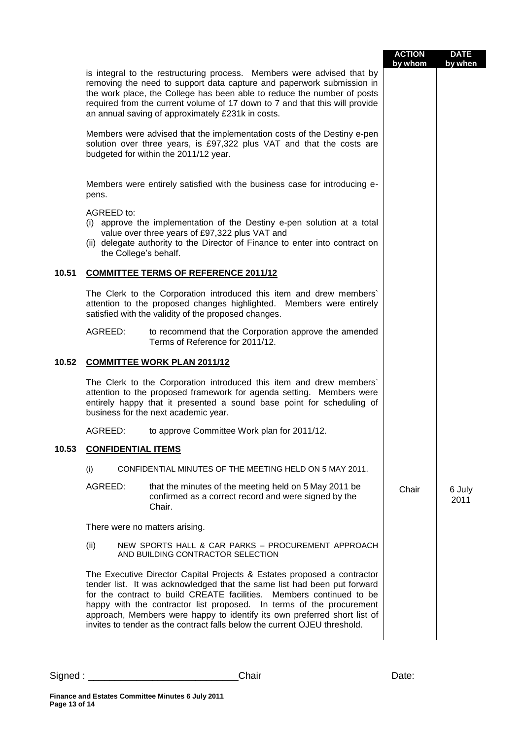|       |                                                                                                                                                                                                                                                                                                                                                                                                                                                                 |                                                                                                                                                                                                                                    | <b>ACTION</b><br>by whom | <b>DATE</b><br>by when |
|-------|-----------------------------------------------------------------------------------------------------------------------------------------------------------------------------------------------------------------------------------------------------------------------------------------------------------------------------------------------------------------------------------------------------------------------------------------------------------------|------------------------------------------------------------------------------------------------------------------------------------------------------------------------------------------------------------------------------------|--------------------------|------------------------|
|       | is integral to the restructuring process. Members were advised that by<br>removing the need to support data capture and paperwork submission in<br>the work place, the College has been able to reduce the number of posts<br>required from the current volume of 17 down to 7 and that this will provide<br>an annual saving of approximately £231k in costs.                                                                                                  |                                                                                                                                                                                                                                    |                          |                        |
|       |                                                                                                                                                                                                                                                                                                                                                                                                                                                                 | Members were advised that the implementation costs of the Destiny e-pen<br>solution over three years, is £97,322 plus VAT and that the costs are<br>budgeted for within the 2011/12 year.                                          |                          |                        |
|       | pens.                                                                                                                                                                                                                                                                                                                                                                                                                                                           | Members were entirely satisfied with the business case for introducing e-                                                                                                                                                          |                          |                        |
|       | AGREED to:                                                                                                                                                                                                                                                                                                                                                                                                                                                      | (i) approve the implementation of the Destiny e-pen solution at a total<br>value over three years of £97,322 plus VAT and<br>(ii) delegate authority to the Director of Finance to enter into contract on<br>the College's behalf. |                          |                        |
| 10.51 |                                                                                                                                                                                                                                                                                                                                                                                                                                                                 | <b>COMMITTEE TERMS OF REFERENCE 2011/12</b>                                                                                                                                                                                        |                          |                        |
|       |                                                                                                                                                                                                                                                                                                                                                                                                                                                                 | The Clerk to the Corporation introduced this item and drew members'<br>attention to the proposed changes highlighted. Members were entirely<br>satisfied with the validity of the proposed changes.                                |                          |                        |
|       | AGREED:                                                                                                                                                                                                                                                                                                                                                                                                                                                         | to recommend that the Corporation approve the amended<br>Terms of Reference for 2011/12.                                                                                                                                           |                          |                        |
| 10.52 |                                                                                                                                                                                                                                                                                                                                                                                                                                                                 | <b>COMMITTEE WORK PLAN 2011/12</b>                                                                                                                                                                                                 |                          |                        |
|       | The Clerk to the Corporation introduced this item and drew members'<br>attention to the proposed framework for agenda setting. Members were<br>entirely happy that it presented a sound base point for scheduling of<br>business for the next academic year.                                                                                                                                                                                                    |                                                                                                                                                                                                                                    |                          |                        |
|       | AGREED:                                                                                                                                                                                                                                                                                                                                                                                                                                                         | to approve Committee Work plan for 2011/12.                                                                                                                                                                                        |                          |                        |
| 10.53 |                                                                                                                                                                                                                                                                                                                                                                                                                                                                 | <b>CONFIDENTIAL ITEMS</b>                                                                                                                                                                                                          |                          |                        |
|       | (i)                                                                                                                                                                                                                                                                                                                                                                                                                                                             | CONFIDENTIAL MINUTES OF THE MEETING HELD ON 5 MAY 2011.                                                                                                                                                                            |                          |                        |
|       | AGREED:                                                                                                                                                                                                                                                                                                                                                                                                                                                         | that the minutes of the meeting held on 5 May 2011 be<br>confirmed as a correct record and were signed by the<br>Chair.                                                                                                            | Chair                    | 6 July<br>2011         |
|       | There were no matters arising.                                                                                                                                                                                                                                                                                                                                                                                                                                  |                                                                                                                                                                                                                                    |                          |                        |
|       | (ii)                                                                                                                                                                                                                                                                                                                                                                                                                                                            | NEW SPORTS HALL & CAR PARKS - PROCUREMENT APPROACH<br>AND BUILDING CONTRACTOR SELECTION                                                                                                                                            |                          |                        |
|       | The Executive Director Capital Projects & Estates proposed a contractor<br>tender list. It was acknowledged that the same list had been put forward<br>for the contract to build CREATE facilities.<br>Members continued to be<br>happy with the contractor list proposed. In terms of the procurement<br>approach, Members were happy to identify its own preferred short list of<br>invites to tender as the contract falls below the current OJEU threshold. |                                                                                                                                                                                                                                    |                          |                        |